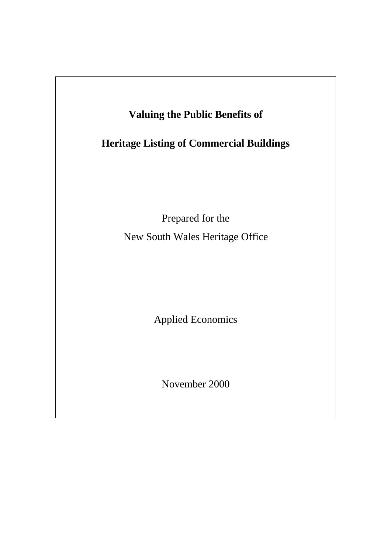

November 2000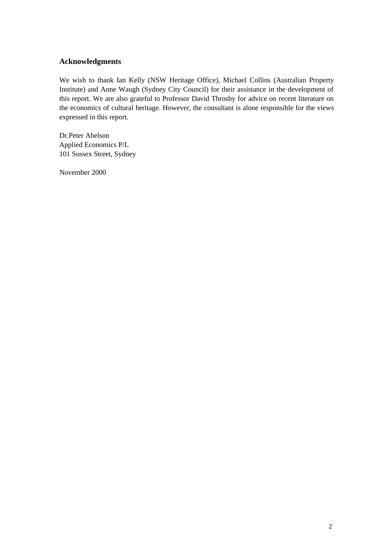#### **Acknowledgments**

We wish to thank Ian Kelly (NSW Heritage Office), Michael Collins (Australian Property Institute) and Anne Waugh (Sydney City Council) for their assistance in the development of this report. We are also grateful to Professor David Throsby for advice on recent literature on the economics of cultural heritage. However, the consultant is alone responsible for the views expressed in this report.

Dr.Peter Abelson Applied Economics P/L 101 Sussex Street, Sydney

November 2000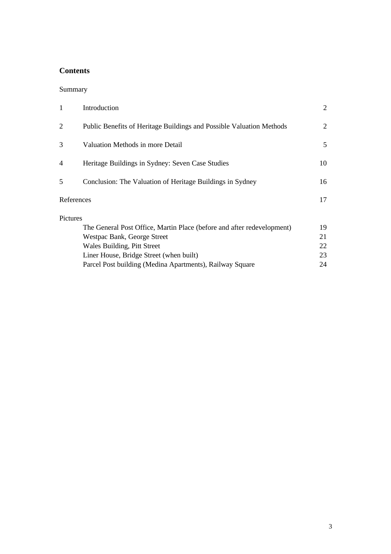# **Contents**

### Summary

| 1          | Introduction                                                           | $\overline{2}$ |
|------------|------------------------------------------------------------------------|----------------|
|            | Public Benefits of Heritage Buildings and Possible Valuation Methods   | 2              |
| 3          | Valuation Methods in more Detail                                       | 5              |
| 4          | Heritage Buildings in Sydney: Seven Case Studies                       | 10             |
| 5          | Conclusion: The Valuation of Heritage Buildings in Sydney              | 16             |
| References |                                                                        | 17             |
| Pictures   |                                                                        |                |
|            | The General Post Office, Martin Place (before and after redevelopment) | 19             |
|            | Westpac Bank, George Street                                            | 21             |
|            | Wales Building, Pitt Street                                            | 22             |
|            | Liner House, Bridge Street (when built)                                | 23             |
|            | Parcel Post building (Medina Apartments), Railway Square               | 24             |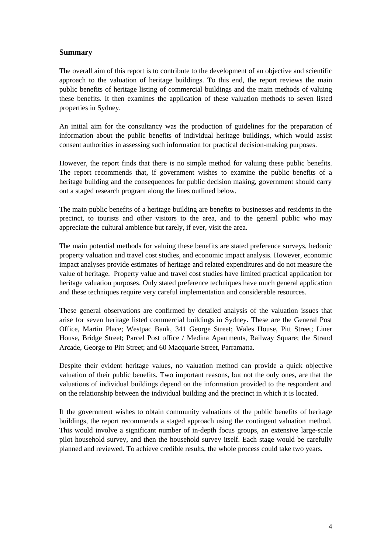#### **Summary**

The overall aim of this report is to contribute to the development of an objective and scientific approach to the valuation of heritage buildings. To this end, the report reviews the main public benefits of heritage listing of commercial buildings and the main methods of valuing these benefits. It then examines the application of these valuation methods to seven listed properties in Sydney.

An initial aim for the consultancy was the production of guidelines for the preparation of information about the public benefits of individual heritage buildings, which would assist consent authorities in assessing such information for practical decision-making purposes.

However, the report finds that there is no simple method for valuing these public benefits. The report recommends that, if government wishes to examine the public benefits of a heritage building and the consequences for public decision making, government should carry out a staged research program along the lines outlined below.

The main public benefits of a heritage building are benefits to businesses and residents in the precinct, to tourists and other visitors to the area, and to the general public who may appreciate the cultural ambience but rarely, if ever, visit the area.

The main potential methods for valuing these benefits are stated preference surveys, hedonic property valuation and travel cost studies, and economic impact analysis. However, economic impact analyses provide estimates of heritage and related expenditures and do not measure the value of heritage. Property value and travel cost studies have limited practical application for heritage valuation purposes. Only stated preference techniques have much general application and these techniques require very careful implementation and considerable resources.

These general observations are confirmed by detailed analysis of the valuation issues that arise for seven heritage listed commercial buildings in Sydney. These are the General Post Office, Martin Place; Westpac Bank, 341 George Street; Wales House, Pitt Street; Liner House, Bridge Street; Parcel Post office / Medina Apartments, Railway Square; the Strand Arcade, George to Pitt Street; and 60 Macquarie Street, Parramatta.

Despite their evident heritage values, no valuation method can provide a quick objective valuation of their public benefits. Two important reasons, but not the only ones, are that the valuations of individual buildings depend on the information provided to the respondent and on the relationship between the individual building and the precinct in which it is located.

If the government wishes to obtain community valuations of the public benefits of heritage buildings, the report recommends a staged approach using the contingent valuation method. This would involve a significant number of in-depth focus groups, an extensive large-scale pilot household survey, and then the household survey itself. Each stage would be carefully planned and reviewed. To achieve credible results, the whole process could take two years.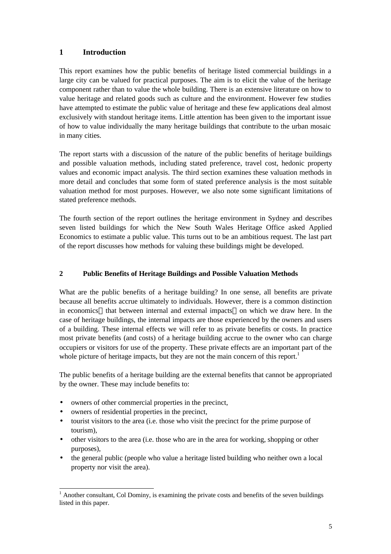### **1 Introduction**

This report examines how the public benefits of heritage listed commercial buildings in a large city can be valued for practical purposes. The aim is to elicit the value of the heritage component rather than to value the whole building. There is an extensive literature on how to value heritage and related goods such as culture and the environment. However few studies have attempted to estimate the public value of heritage and these few applications deal almost exclusively with standout heritage items. Little attention has been given to the important issue of how to value individually the many heritage buildings that contribute to the urban mosaic in many cities.

The report starts with a discussion of the nature of the public benefits of heritage buildings and possible valuation methods, including stated preference, travel cost, hedonic property values and economic impact analysis. The third section examines these valuation methods in more detail and concludes that some form of stated preference analysis is the most suitable valuation method for most purposes. However, we also note some significant limitations of stated preference methods.

The fourth section of the report outlines the heritage environment in Sydney and describes seven listed buildings for which the New South Wales Heritage Office asked Applied Economics to estimate a public value. This turns out to be an ambitious request. The last part of the report discusses how methods for valuing these buildings might be developed.

#### **2 Public Benefits of Heritage Buildings and Possible Valuation Methods**

What are the public benefits of a heritage building? In one sense, all benefits are private because all benefits accrue ultimately to individuals. However, there is a common distinction in economics—that between internal and external impacts—on which we draw here. In the case of heritage buildings, the internal impacts are those experienced by the owners and users of a building. These internal effects we will refer to as private benefits or costs. In practice most private benefits (and costs) of a heritage building accrue to the owner who can charge occupiers or visitors for use of the property. These private effects are an important part of the whole picture of heritage impacts, but they are not the main concern of this report.<sup>1</sup>

The public benefits of a heritage building are the external benefits that cannot be appropriated by the owner. These may include benefits to:

- owners of other commercial properties in the precinct,
- owners of residential properties in the precinct,
- tourist visitors to the area (i.e. those who visit the precinct for the prime purpose of tourism),
- other visitors to the area (i.e. those who are in the area for working, shopping or other purposes),
- the general public (people who value a heritage listed building who neither own a local property nor visit the area).

<sup>&</sup>lt;sup>1</sup> Another consultant, Col Dominy, is examining the private costs and benefits of the seven buildings listed in this paper.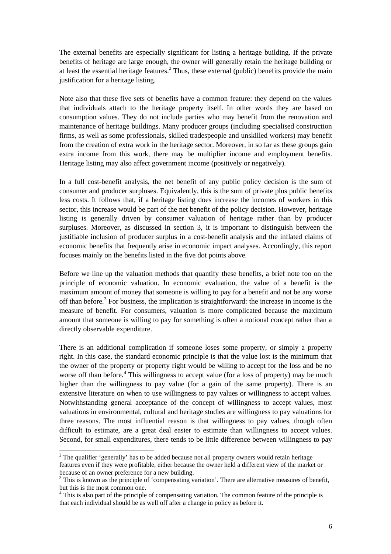The external benefits are especially significant for listing a heritage building. If the private benefits of heritage are large enough, the owner will generally retain the heritage building or at least the essential heritage features.<sup>2</sup> Thus, these external (public) benefits provide the main justification for a heritage listing.

Note also that these five sets of benefits have a common feature: they depend on the values that individuals attach to the heritage property itself. In other words they are based on consumption values. They do not include parties who may benefit from the renovation and maintenance of heritage buildings. Many producer groups (including specialised construction firms, as well as some professionals, skilled tradespeople and unskilled workers) may benefit from the creation of extra work in the heritage sector. Moreover, in so far as these groups gain extra income from this work, there may be multiplier income and employment benefits. Heritage listing may also affect government income (positively or negatively).

In a full cost-benefit analysis, the net benefit of any public policy decision is the sum of consumer and producer surpluses. Equivalently, this is the sum of private plus public benefits less costs. It follows that, if a heritage listing does increase the incomes of workers in this sector, this increase would be part of the net benefit of the policy decision. However, heritage listing is generally driven by consumer valuation of heritage rather than by producer surpluses. Moreover, as discussed in section 3, it is important to distinguish between the justifiable inclusion of producer surplus in a cost-benefit analysis and the inflated claims of economic benefits that frequently arise in economic impact analyses. Accordingly, this report focuses mainly on the benefits listed in the five dot points above.

Before we line up the valuation methods that quantify these benefits, a brief note too on the principle of economic valuation. In economic evaluation, the value of a benefit is the maximum amount of money that someone is willing to pay for a benefit and not be any worse off than before.<sup>3</sup> For business, the implication is straightforward: the increase in income is the measure of benefit. For consumers, valuation is more complicated because the maximum amount that someone is willing to pay for something is often a notional concept rather than a directly observable expenditure.

There is an additional complication if someone loses some property, or simply a property right. In this case, the standard economic principle is that the value lost is the minimum that the owner of the property or property right would be willing to accept for the loss and be no worse off than before.<sup>4</sup> This willingness to accept value (for a loss of property) may be much higher than the willingness to pay value (for a gain of the same property). There is an extensive literature on when to use willingness to pay values or willingness to accept values. Notwithstanding general acceptance of the concept of willingness to accept values, most valuations in environmental, cultural and heritage studies are willingness to pay valuations for three reasons. The most influential reason is that willingness to pay values, though often difficult to estimate, are a great deal easier to estimate than willingness to accept values. Second, for small expenditures, there tends to be little difference between willingness to pay

l

 $2$  The qualifier 'generally' has to be added because not all property owners would retain heritage features even if they were profitable, either because the owner held a different view of the market or because of an owner preference for a new building.

<sup>&</sup>lt;sup>3</sup> This is known as the principle of 'compensating variation'. There are alternative measures of benefit, but this is the most common one.

<sup>&</sup>lt;sup>4</sup> This is also part of the principle of compensating variation. The common feature of the principle is that each individual should be as well off after a change in policy as before it.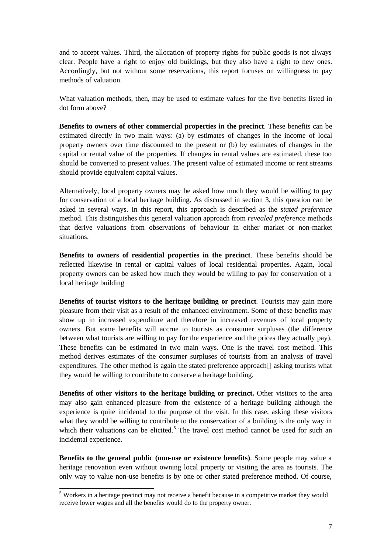and to accept values. Third, the allocation of property rights for public goods is not always clear. People have a right to enjoy old buildings, but they also have a right to new ones. Accordingly, but not without some reservations, this report focuses on willingness to pay methods of valuation.

What valuation methods, then, may be used to estimate values for the five benefits listed in dot form above?

**Benefits to owners of other commercial properties in the precinct**. These benefits can be estimated directly in two main ways: (a) by estimates of changes in the income of local property owners over time discounted to the present or (b) by estimates of changes in the capital or rental value of the properties. If changes in rental values are estimated, these too should be converted to present values. The present value of estimated income or rent streams should provide equivalent capital values.

Alternatively, local property owners may be asked how much they would be willing to pay for conservation of a local heritage building. As discussed in section 3, this question can be asked in several ways. In this report, this approach is described as the *stated preference* method. This distinguishes this general valuation approach from *revealed preference* methods that derive valuations from observations of behaviour in either market or non-market situations.

**Benefits to owners of residential properties in the precinct**. These benefits should be reflected likewise in rental or capital values of local residential properties. Again, local property owners can be asked how much they would be willing to pay for conservation of a local heritage building

**Benefits of tourist visitors to the heritage building or precinct**. Tourists may gain more pleasure from their visit as a result of the enhanced environment. Some of these benefits may show up in increased expenditure and therefore in increased revenues of local property owners. But some benefits will accrue to tourists as consumer surpluses (the difference between what tourists are willing to pay for the experience and the prices they actually pay). These benefits can be estimated in two main ways. One is the travel cost method. This method derives estimates of the consumer surpluses of tourists from an analysis of travel expenditures. The other method is again the stated preference approach—asking tourists what they would be willing to contribute to conserve a heritage building.

**Benefits of other visitors to the heritage building or precinct.** Other visitors to the area may also gain enhanced pleasure from the existence of a heritage building although the experience is quite incidental to the purpose of the visit. In this case, asking these visitors what they would be willing to contribute to the conservation of a building is the only way in which their valuations can be elicited.<sup>5</sup> The travel cost method cannot be used for such an incidental experience.

**Benefits to the general public (non-use or existence benefits)**. Some people may value a heritage renovation even without owning local property or visiting the area as tourists. The only way to value non-use benefits is by one or other stated preference method. Of course,

<sup>&</sup>lt;sup>5</sup> Workers in a heritage precinct may not receive a benefit because in a competitive market they would receive lower wages and all the benefits would do to the property owner.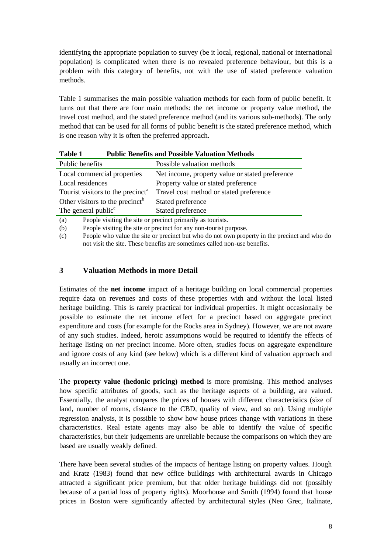identifying the appropriate population to survey (be it local, regional, national or international population) is complicated when there is no revealed preference behaviour, but this is a problem with this category of benefits, not with the use of stated preference valuation methods.

Table 1 summarises the main possible valuation methods for each form of public benefit. It turns out that there are four main methods: the net income or property value method, the travel cost method, and the stated preference method (and its various sub-methods). The only method that can be used for all forms of public benefit is the stated preference method, which is one reason why it is often the preferred approach.

| Tabie T<br>I QUIL DEIIEIUS ANU I OSSIDIE VAIDAUON MEUTOUS |                                                 |  |  |  |  |
|-----------------------------------------------------------|-------------------------------------------------|--|--|--|--|
| Public benefits                                           | Possible valuation methods                      |  |  |  |  |
| Local commercial properties                               | Net income, property value or stated preference |  |  |  |  |
| Local residences                                          | Property value or stated preference             |  |  |  |  |
| Tourist visitors to the precinct <sup>a</sup>             | Travel cost method or stated preference         |  |  |  |  |
| Other visitors to the precinct <sup>b</sup>               | Stated preference                               |  |  |  |  |
| The general public <sup>c</sup>                           | Stated preference                               |  |  |  |  |
|                                                           |                                                 |  |  |  |  |

(a) People visiting the site or precinct primarily as tourists.

(b) People visiting the site or precinct for any non-tourist purpose.

**Table 1 Public Benefits and Possible Valuation Methods**

(c) People who value the site or precinct but who do not own property in the precinct and who do not visit the site. These benefits are sometimes called non-use benefits.

#### **3 Valuation Methods in more Detail**

Estimates of the **net income** impact of a heritage building on local commercial properties require data on revenues and costs of these properties with and without the local listed heritage building. This is rarely practical for individual properties. It might occasionally be possible to estimate the net income effect for a precinct based on aggregate precinct expenditure and costs (for example for the Rocks area in Sydney). However, we are not aware of any such studies. Indeed, heroic assumptions would be required to identify the effects of heritage listing on *net* precinct income. More often, studies focus on aggregate expenditure and ignore costs of any kind (see below) which is a different kind of valuation approach and usually an incorrect one.

The **property value (hedonic pricing) method** is more promising. This method analyses how specific attributes of goods, such as the heritage aspects of a building, are valued. Essentially, the analyst compares the prices of houses with different characteristics (size of land, number of rooms, distance to the CBD, quality of view, and so on). Using multiple regression analysis, it is possible to show how house prices change with variations in these characteristics. Real estate agents may also be able to identify the value of specific characteristics, but their judgements are unreliable because the comparisons on which they are based are usually weakly defined.

There have been several studies of the impacts of heritage listing on property values. Hough and Kratz (1983) found that new office buildings with architectural awards in Chicago attracted a significant price premium, but that older heritage buildings did not (possibly because of a partial loss of property rights). Moorhouse and Smith (1994) found that house prices in Boston were significantly affected by architectural styles (Neo Grec, Italinate,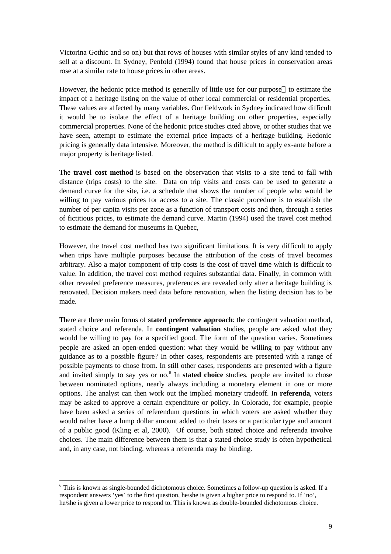Victorina Gothic and so on) but that rows of houses with similar styles of any kind tended to sell at a discount. In Sydney, Penfold (1994) found that house prices in conservation areas rose at a similar rate to house prices in other areas.

However, the hedonic price method is generally of little use for our purpose—to estimate the impact of a heritage listing on the value of other local commercial or residential properties. These values are affected by many variables. Our fieldwork in Sydney indicated how difficult it would be to isolate the effect of a heritage building on other properties, especially commercial properties. None of the hedonic price studies cited above, or other studies that we have seen, attempt to estimate the external price impacts of a heritage building. Hedonic pricing is generally data intensive. Moreover, the method is difficult to apply ex-ante before a major property is heritage listed.

The **travel cost method** is based on the observation that visits to a site tend to fall with distance (trips costs) to the site. Data on trip visits and costs can be used to generate a demand curve for the site, i.e. a schedule that shows the number of people who would be willing to pay various prices for access to a site. The classic procedure is to establish the number of per capita visits per zone as a function of transport costs and then, through a series of fictitious prices, to estimate the demand curve. Martin (1994) used the travel cost method to estimate the demand for museums in Quebec,

However, the travel cost method has two significant limitations. It is very difficult to apply when trips have multiple purposes because the attribution of the costs of travel becomes arbitrary. Also a major component of trip costs is the cost of travel time which is difficult to value. In addition, the travel cost method requires substantial data. Finally, in common with other revealed preference measures, preferences are revealed only after a heritage building is renovated. Decision makers need data before renovation, when the listing decision has to be made.

There are three main forms of **stated preference approach**: the contingent valuation method, stated choice and referenda. In **contingent valuation** studies, people are asked what they would be willing to pay for a specified good. The form of the question varies. Sometimes people are asked an open-ended question: what they would be willing to pay without any guidance as to a possible figure? In other cases, respondents are presented with a range of possible payments to chose from. In still other cases, respondents are presented with a figure and invited simply to say yes or no.<sup>6</sup> In **stated choice** studies, people are invited to chose between nominated options, nearly always including a monetary element in one or more options. The analyst can then work out the implied monetary tradeoff. In **referenda**, voters may be asked to approve a certain expenditure or policy. In Colorado, for example, people have been asked a series of referendum questions in which voters are asked whether they would rather have a lump dollar amount added to their taxes or a particular type and amount of a public good (Kling et al, 2000). Of course, both stated choice and referenda involve choices. The main difference between them is that a stated choice study is often hypothetical and, in any case, not binding, whereas a referenda may be binding.

l

<sup>&</sup>lt;sup>6</sup> This is known as single-bounded dichotomous choice. Sometimes a follow-up question is asked. If a respondent answers 'yes' to the first question, he/she is given a higher price to respond to. If 'no', he/she is given a lower price to respond to. This is known as double-bounded dichotomous choice.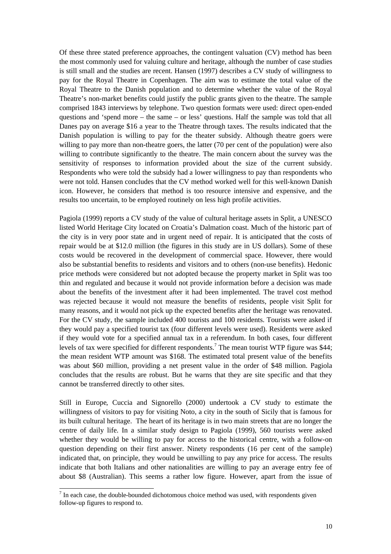Of these three stated preference approaches, the contingent valuation (CV) method has been the most commonly used for valuing culture and heritage, although the number of case studies is still small and the studies are recent. Hansen (1997) describes a CV study of willingness to pay for the Royal Theatre in Copenhagen. The aim was to estimate the total value of the Royal Theatre to the Danish population and to determine whether the value of the Royal Theatre's non-market benefits could justify the public grants given to the theatre. The sample comprised 1843 interviews by telephone. Two question formats were used: direct open-ended questions and 'spend more – the same – or less' questions. Half the sample was told that all Danes pay on average \$16 a year to the Theatre through taxes. The results indicated that the Danish population is willing to pay for the theater subsidy. Although theatre goers were willing to pay more than non-theatre goers, the latter (70 per cent of the population) were also willing to contribute significantly to the theatre. The main concern about the survey was the sensitivity of responses to information provided about the size of the current subsidy. Respondents who were told the subsidy had a lower willingness to pay than respondents who were not told. Hansen concludes that the CV method worked well for this well-known Danish icon. However, he considers that method is too resource intensive and expensive, and the results too uncertain, to be employed routinely on less high profile activities.

Pagiola (1999) reports a CV study of the value of cultural heritage assets in Split, a UNESCO listed World Heritage City located on Croatia's Dalmation coast. Much of the historic part of the city is in very poor state and in urgent need of repair. It is anticipated that the costs of repair would be at \$12.0 million (the figures in this study are in US dollars). Some of these costs would be recovered in the development of commercial space. However, there would also be substantial benefits to residents and visitors and to others (non-use benefits). Hedonic price methods were considered but not adopted because the property market in Split was too thin and regulated and because it would not provide information before a decision was made about the benefits of the investment after it had been implemented. The travel cost method was rejected because it would not measure the benefits of residents, people visit Split for many reasons, and it would not pick up the expected benefits after the heritage was renovated. For the CV study, the sample included 400 tourists and 100 residents. Tourists were asked if they would pay a specified tourist tax (four different levels were used). Residents were asked if they would vote for a specified annual tax in a referendum. In both cases, four different levels of tax were specified for different respondents.<sup>7</sup> The mean tourist WTP figure was \$44; the mean resident WTP amount was \$168. The estimated total present value of the benefits was about \$60 million, providing a net present value in the order of \$48 million. Pagiola concludes that the results are robust. But he warns that they are site specific and that they cannot be transferred directly to other sites.

Still in Europe, Cuccia and Signorello (2000) undertook a CV study to estimate the willingness of visitors to pay for visiting Noto, a city in the south of Sicily that is famous for its built cultural heritage. The heart of its heritage is in two main streets that are no longer the centre of daily life. In a similar study design to Pagiola (1999), 560 tourists were asked whether they would be willing to pay for access to the historical centre, with a follow-on question depending on their first answer. Ninety respondents (16 per cent of the sample) indicated that, on principle, they would be unwilling to pay any price for access. The results indicate that both Italians and other nationalities are willing to pay an average entry fee of about \$8 (Australian). This seems a rather low figure. However, apart from the issue of

<sup>&</sup>lt;sup>7</sup> In each case, the double-bounded dichotomous choice method was used, with respondents given follow-up figures to respond to.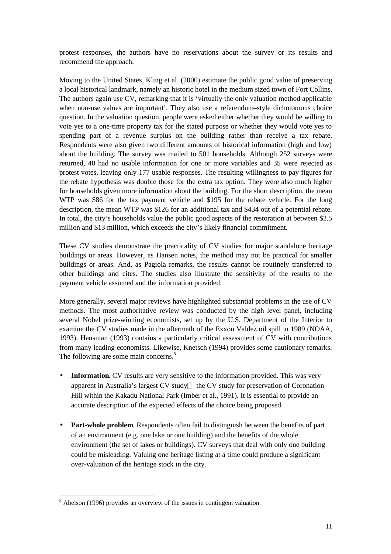protest responses, the authors have no reservations about the survey or its results and recommend the approach.

Moving to the United States, Kling et al. (2000) estimate the public good value of preserving a local historical landmark, namely an historic hotel in the medium sized town of Fort Collins. The authors again use CV, remarking that it is 'virtually the only valuation method applicable when non-use values are important'. They also use a referendum–style dichotomous choice question. In the valuation question, people were asked either whether they would be willing to vote yes to a one-time property tax for the stated purpose or whether they would vote yes to spending part of a revenue surplus on the building rather than receive a tax rebate. Respondents were also given two different amounts of historical information (high and low) about the building. The survey was mailed to 501 households. Although 252 surveys were returned, 40 had no usable information for one or more variables and 35 were rejected as protest votes, leaving only 177 usable responses. The resulting willingness to pay figures for the rebate hypothesis was double those for the extra tax option. They were also much higher for households given more information about the building. For the short description, the mean WTP was \$86 for the tax payment vehicle and \$195 for the rebate vehicle. For the long description, the mean WTP was \$126 for an additional tax and \$434 out of a potential rebate. In total, the city's households value the public good aspects of the restoration at between \$2.5 million and \$13 million, which exceeds the city's likely financial commitment.

These CV studies demonstrate the practicality of CV studies for major standalone heritage buildings or areas. However, as Hansen notes, the method may not be practical for smaller buildings or areas. And, as Pagiola remarks, the results cannot be routinely transferred to other buildings and cites. The studies also illustrate the sensitivity of the results to the payment vehicle assumed and the information provided.

More generally, several major reviews have highlighted substantial problems in the use of CV methods. The most authoritative review was conducted by the high level panel, including several Nobel prize-winning economists, set up by the U.S. Department of the Interior to examine the CV studies made in the aftermath of the Exxon Valdez oil spill in 1989 (NOAA, 1993). Hausman (1993) contains a particularly critical assessment of CV with contributions from many leading economists. Likewise, Knetsch (1994) provides some cautionary remarks. The following are some main concerns.<sup>8</sup>

- **Information**. CV results are very sensitive to the information provided. This was very apparent in Australia's largest CV study— the CV study for preservation of Coronation Hill within the Kakadu National Park (Imber et al., 1991). It is essential to provide an accurate description of the expected effects of the choice being proposed.
- **Part-whole problem**. Respondents often fail to distinguish between the benefits of part of an environment (e.g. one lake or one building) and the benefits of the whole environment (the set of lakes or buildings). CV surveys that deal with only one building could be misleading. Valuing one heritage listing at a time could produce a significant over-valuation of the heritage stock in the city.

-

<sup>&</sup>lt;sup>8</sup> Abelson (1996) provides an overview of the issues in contingent valuation.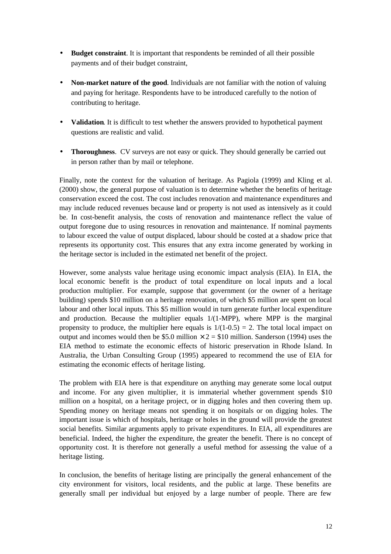- **Budget constraint**. It is important that respondents be reminded of all their possible payments and of their budget constraint,
- **Non-market nature of the good**. Individuals are not familiar with the notion of valuing and paying for heritage. Respondents have to be introduced carefully to the notion of contributing to heritage.
- **Validation**. It is difficult to test whether the answers provided to hypothetical payment questions are realistic and valid.
- **Thoroughness**. CV surveys are not easy or quick. They should generally be carried out in person rather than by mail or telephone.

Finally, note the context for the valuation of heritage. As Pagiola (1999) and Kling et al. (2000) show, the general purpose of valuation is to determine whether the benefits of heritage conservation exceed the cost. The cost includes renovation and maintenance expenditures and may include reduced revenues because land or property is not used as intensively as it could be. In cost-benefit analysis, the costs of renovation and maintenance reflect the value of output foregone due to using resources in renovation and maintenance. If nominal payments to labour exceed the value of output displaced, labour should be costed at a shadow price that represents its opportunity cost. This ensures that any extra income generated by working in the heritage sector is included in the estimated net benefit of the project.

However, some analysts value heritage using economic impact analysis (EIA). In EIA, the local economic benefit is the product of total expenditure on local inputs and a local production multiplier. For example, suppose that government (or the owner of a heritage building) spends \$10 million on a heritage renovation, of which \$5 million are spent on local labour and other local inputs. This \$5 million would in turn generate further local expenditure and production. Because the multiplier equals  $1/(1-MPP)$ , where MPP is the marginal propensity to produce, the multiplier here equals is  $1/(1-0.5) = 2$ . The total local impact on output and incomes would then be \$5.0 million  $\times$  2 = \$10 million. Sanderson (1994) uses the EIA method to estimate the economic effects of historic preservation in Rhode Island. In Australia, the Urban Consulting Group (1995) appeared to recommend the use of EIA for estimating the economic effects of heritage listing.

The problem with EIA here is that expenditure on anything may generate some local output and income. For any given multiplier, it is immaterial whether government spends \$10 million on a hospital, on a heritage project, or in digging holes and then covering them up. Spending money on heritage means not spending it on hospitals or on digging holes. The important issue is which of hospitals, heritage or holes in the ground will provide the greatest social benefits. Similar arguments apply to private expenditures. In EIA, all expenditures are beneficial. Indeed, the higher the expenditure, the greater the benefit. There is no concept of opportunity cost. It is therefore not generally a useful method for assessing the value of a heritage listing.

In conclusion, the benefits of heritage listing are principally the general enhancement of the city environment for visitors, local residents, and the public at large. These benefits are generally small per individual but enjoyed by a large number of people. There are few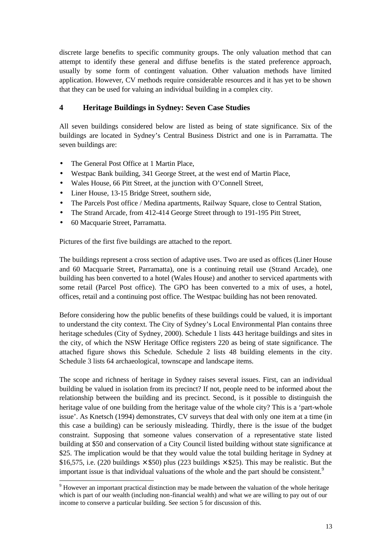discrete large benefits to specific community groups. The only valuation method that can attempt to identify these general and diffuse benefits is the stated preference approach, usually by some form of contingent valuation. Other valuation methods have limited application. However, CV methods require considerable resources and it has yet to be shown that they can be used for valuing an individual building in a complex city.

## **4 Heritage Buildings in Sydney: Seven Case Studies**

All seven buildings considered below are listed as being of state significance. Six of the buildings are located in Sydney's Central Business District and one is in Parramatta. The seven buildings are:

- The General Post Office at 1 Martin Place,
- Westpac Bank building, 341 George Street, at the west end of Martin Place,
- Wales House, 66 Pitt Street, at the junction with O'Connell Street,
- Liner House, 13-15 Bridge Street, southern side,
- The Parcels Post office / Medina apartments, Railway Square, close to Central Station,
- The Strand Arcade, from 412-414 George Street through to 191-195 Pitt Street,
- 60 Macquarie Street, Parramatta.

l

Pictures of the first five buildings are attached to the report.

The buildings represent a cross section of adaptive uses. Two are used as offices (Liner House and 60 Macquarie Street, Parramatta), one is a continuing retail use (Strand Arcade), one building has been converted to a hotel (Wales House) and another to serviced apartments with some retail (Parcel Post office). The GPO has been converted to a mix of uses, a hotel, offices, retail and a continuing post office. The Westpac building has not been renovated.

Before considering how the public benefits of these buildings could be valued, it is important to understand the city context. The City of Sydney's Local Environmental Plan contains three heritage schedules (City of Sydney, 2000). Schedule 1 lists 443 heritage buildings and sites in the city, of which the NSW Heritage Office registers 220 as being of state significance. The attached figure shows this Schedule. Schedule 2 lists 48 building elements in the city. Schedule 3 lists 64 archaeological, townscape and landscape items.

The scope and richness of heritage in Sydney raises several issues. First, can an individual building be valued in isolation from its precinct? If not, people need to be informed about the relationship between the building and its precinct. Second, is it possible to distinguish the heritage value of one building from the heritage value of the whole city? This is a 'part-whole issue'. As Knetsch (1994) demonstrates, CV surveys that deal with only one item at a time (in this case a building) can be seriously misleading. Thirdly, there is the issue of the budget constraint. Supposing that someone values conservation of a representative state listed building at \$50 and conservation of a City Council listed building without state significance at \$25. The implication would be that they would value the total building heritage in Sydney at \$16,575, i.e. (220 buildings  $\times$  \$50) plus (223 buildings  $\times$  \$25). This may be realistic. But the important issue is that individual valuations of the whole and the part should be consistent.<sup>9</sup>

 $9$  However an important practical distinction may be made between the valuation of the whole heritage which is part of our wealth (including non-financial wealth) and what we are willing to pay out of our income to conserve a particular building. See section 5 for discussion of this.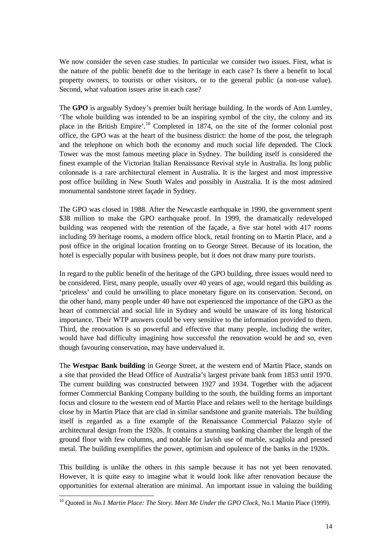We now consider the seven case studies. In particular we consider two issues. First, what is the nature of the public benefit due to the heritage in each case? Is there a benefit to local property owners, to tourists or other visitors, or to the general public (a non-use value). Second, what valuation issues arise in each case?

The **GPO** is arguably Sydney's premier built heritage building. In the words of Ann Lumley, 'The whole building was intended to be an inspiring symbol of the city, the colony and its place in the British Empire'.<sup>10</sup> Completed in 1874, on the site of the former colonial post office, the GPO was at the heart of the business district: the home of the post, the telegraph and the telephone on which both the economy and much social life depended. The Clock Tower was the most famous meeting place in Sydney. The building itself is considered the finest example of the Victorian Italian Renaissance Revival style in Australia. Its long public colonnade is a rare architectural element in Australia. It is the largest and most impressive post office building in New South Wales and possibly in Australia. It is the most admired monumental sandstone street façade in Sydney.

The GPO was closed in 1988. After the Newcastle earthquake in 1990, the government spent \$38 million to make the GPO earthquake proof. In 1999, the dramatically redeveloped building was reopened with the retention of the façade, a five star hotel with 417 rooms including 59 heritage rooms, a modern office block, retail fronting on to Martin Place, and a post office in the original location fronting on to George Street. Because of its location, the hotel is especially popular with business people, but it does not draw many pure tourists.

In regard to the public benefit of the heritage of the GPO building, three issues would need to be considered. First, many people, usually over 40 years of age, would regard this building as 'priceless' and could be unwilling to place monetary figure on its conservation. Second, on the other hand, many people under 40 have not experienced the importance of the GPO as the heart of commercial and social life in Sydney and would be unaware of its long historical importance. Their WTP answers could be very sensitive to the information provided to them. Third, the renovation is so powerful and effective that many people, including the writer, would have had difficulty imagining how successful the renovation would be and so, even though favouring conservation, may have undervalued it.

The **Westpac Bank building** in George Street, at the western end of Martin Place, stands on a site that provided the Head Office of Australia's largest private bank from 1853 until 1970. The current building was constructed between 1927 and 1934. Together with the adjacent former Commercial Banking Company building to the south, the building forms an important focus and closure to the western end of Martin Place and relates well to the heritage buildings close by in Martin Place that are clad in similar sandstone and granite materials. The building itself is regarded as a fine example of the Renaissance Commercial Palazzo style of architectural design from the 1920s. It contains a stunning banking chamber the length of the ground floor with few columns, and notable for lavish use of marble, scagliola and pressed metal. The building exemplifies the power, optimism and opulence of the banks in the 1920s.

This building is unlike the others in this sample because it has not yet been renovated. However, it is quite easy to imagine what it would look like after renovation because the opportunities for external alteration are minimal. An important issue in valuing the building

-

<sup>10</sup> Quoted in *No.1 Martin Place: The Story. Meet Me Under the GPO Clock*, No.1 Martin Place (1999).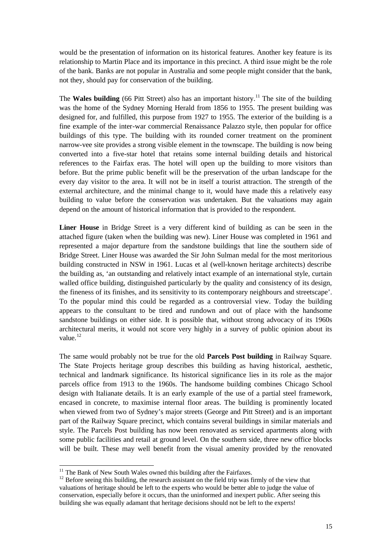would be the presentation of information on its historical features. Another key feature is its relationship to Martin Place and its importance in this precinct. A third issue might be the role of the bank. Banks are not popular in Australia and some people might consider that the bank, not they, should pay for conservation of the building.

The **Wales building** (66 Pitt Street) also has an important history.<sup>11</sup> The site of the building was the home of the Sydney Morning Herald from 1856 to 1955. The present building was designed for, and fulfilled, this purpose from 1927 to 1955. The exterior of the building is a fine example of the inter-war commercial Renaissance Palazzo style, then popular for office buildings of this type. The building with its rounded corner treatment on the prominent narrow-vee site provides a strong visible element in the townscape. The building is now being converted into a five-star hotel that retains some internal building details and historical references to the Fairfax eras. The hotel will open up the building to more visitors than before. But the prime public benefit will be the preservation of the urban landscape for the every day visitor to the area. It will not be in itself a tourist attraction. The strength of the external architecture, and the minimal change to it, would have made this a relatively easy building to value before the conservation was undertaken. But the valuations may again depend on the amount of historical information that is provided to the respondent.

**Liner House** in Bridge Street is a very different kind of building as can be seen in the attached figure (taken when the building was new). Liner House was completed in 1961 and represented a major departure from the sandstone buildings that line the southern side of Bridge Street. Liner House was awarded the Sir John Sulman medal for the most meritorious building constructed in NSW in 1961. Lucas et al (well-known heritage architects) describe the building as, 'an outstanding and relatively intact example of an international style, curtain walled office building, distinguished particularly by the quality and consistency of its design, the fineness of its finishes, and its sensitivity to its contemporary neighbours and streetscape'. To the popular mind this could be regarded as a controversial view. Today the building appears to the consultant to be tired and rundown and out of place with the handsome sandstone buildings on either side. It is possible that, without strong advocacy of its 1960s architectural merits, it would not score very highly in a survey of public opinion about its value $12$ 

The same would probably not be true for the old **Parcels Post building** in Railway Square. The State Projects heritage group describes this building as having historical, aesthetic, technical and landmark significance. Its historical significance lies in its role as the major parcels office from 1913 to the 1960s. The handsome building combines Chicago School design with Italianate details. It is an early example of the use of a partial steel framework, encased in concrete, to maximise internal floor areas. The building is prominently located when viewed from two of Sydney's major streets (George and Pitt Street) and is an important part of the Railway Square precinct, which contains several buildings in similar materials and style. The Parcels Post building has now been renovated as serviced apartments along with some public facilities and retail at ground level. On the southern side, three new office blocks will be built. These may well benefit from the visual amenity provided by the renovated

-

 $11$  The Bank of New South Wales owned this building after the Fairfaxes.

 $12$  Before seeing this building, the research assistant on the field trip was firmly of the view that valuations of heritage should be left to the experts who would be better able to judge the value of conservation, especially before it occurs, than the uninformed and inexpert public. After seeing this building she was equally adamant that heritage decisions should not be left to the experts!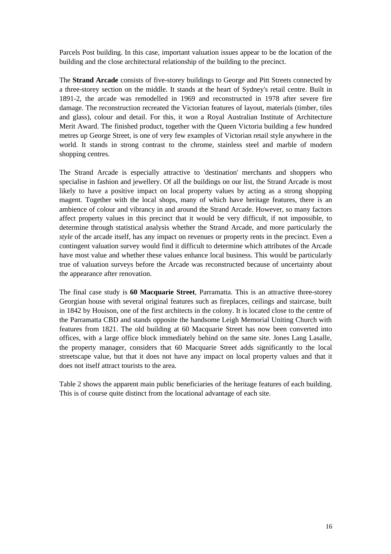Parcels Post building. In this case, important valuation issues appear to be the location of the building and the close architectural relationship of the building to the precinct.

The **Strand Arcade** consists of five-storey buildings to George and Pitt Streets connected by a three-storey section on the middle. It stands at the heart of Sydney's retail centre. Built in 1891-2, the arcade was remodelled in 1969 and reconstructed in 1978 after severe fire damage. The reconstruction recreated the Victorian features of layout, materials (timber, tiles and glass), colour and detail. For this, it won a Royal Australian Institute of Architecture Merit Award. The finished product, together with the Queen Victoria building a few hundred metres up George Street, is one of very few examples of Victorian retail style anywhere in the world. It stands in strong contrast to the chrome, stainless steel and marble of modern shopping centres.

The Strand Arcade is especially attractive to 'destination' merchants and shoppers who specialise in fashion and jewellery. Of all the buildings on our list, the Strand Arcade is most likely to have a positive impact on local property values by acting as a strong shopping magent. Together with the local shops, many of which have heritage features, there is an ambience of colour and vibrancy in and around the Strand Arcade. However, so many factors affect property values in this precinct that it would be very difficult, if not impossible, to determine through statistical analysis whether the Strand Arcade, and more particularly the *style* of the arcade itself, has any impact on revenues or property rents in the precinct. Even a contingent valuation survey would find it difficult to determine which attributes of the Arcade have most value and whether these values enhance local business. This would be particularly true of valuation surveys before the Arcade was reconstructed because of uncertainty about the appearance after renovation.

The final case study is **60 Macquarie Street**, Parramatta. This is an attractive three-storey Georgian house with several original features such as fireplaces, ceilings and staircase, built in 1842 by Houison, one of the first architects in the colony. It is located close to the centre of the Parramatta CBD and stands opposite the handsome Leigh Memorial Uniting Church with features from 1821. The old building at 60 Macquarie Street has now been converted into offices, with a large office block immediately behind on the same site. Jones Lang Lasalle, the property manager, considers that 60 Macquarie Street adds significantly to the local streetscape value, but that it does not have any impact on local property values and that it does not itself attract tourists to the area.

Table 2 shows the apparent main public beneficiaries of the heritage features of each building. This is of course quite distinct from the locational advantage of each site.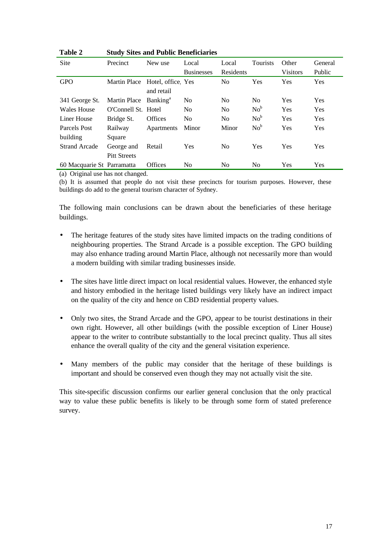| Table 2              |                                   | <b>Study Sites and Public Beneficiaries</b> |                   |                |                 |                 |            |  |  |  |
|----------------------|-----------------------------------|---------------------------------------------|-------------------|----------------|-----------------|-----------------|------------|--|--|--|
| <b>Site</b>          | Precinct                          | New use                                     | Local             | Local          | Tourists        | Other           | General    |  |  |  |
|                      |                                   |                                             | <b>Businesses</b> | Residents      |                 | <b>Visitors</b> | Public     |  |  |  |
| <b>GPO</b>           |                                   | Martin Place Hotel, office Yes              |                   | N <sub>0</sub> | <b>Yes</b>      | <b>Yes</b>      | Yes        |  |  |  |
|                      |                                   | and retail                                  |                   |                |                 |                 |            |  |  |  |
| 341 George St.       | Martin Place Banking <sup>a</sup> |                                             | N <sub>0</sub>    | N <sub>0</sub> | N <sub>0</sub>  | <b>Yes</b>      | <b>Yes</b> |  |  |  |
| Wales House          | O'Connell St. Hotel               |                                             | N <sub>0</sub>    | N <sub>0</sub> | No <sup>b</sup> | <b>Yes</b>      | <b>Yes</b> |  |  |  |
| Liner House          | Bridge St.                        | <b>Offices</b>                              | N <sub>0</sub>    | N <sub>0</sub> | $No^b$          | <b>Yes</b>      | <b>Yes</b> |  |  |  |
| Parcels Post         | Railway                           | Apartments                                  | Minor             | Minor          | No <sup>b</sup> | <b>Yes</b>      | Yes        |  |  |  |
| building             | Square                            |                                             |                   |                |                 |                 |            |  |  |  |
| <b>Strand Arcade</b> | George and                        | Retail                                      | Yes               | No             | Yes             | <b>Yes</b>      | Yes        |  |  |  |
|                      | <b>Pitt Streets</b>               |                                             |                   |                |                 |                 |            |  |  |  |
|                      | 60 Macquarie St Parramatta        | <b>Offices</b>                              | No                | No             | No              | Yes             | Yes        |  |  |  |

(a) Original use has not changed.

(b) It is assumed that people do not visit these precincts for tourism purposes. However, these buildings do add to the general tourism character of Sydney.

The following main conclusions can be drawn about the beneficiaries of these heritage buildings.

- The heritage features of the study sites have limited impacts on the trading conditions of neighbouring properties. The Strand Arcade is a possible exception. The GPO building may also enhance trading around Martin Place, although not necessarily more than would a modern building with similar trading businesses inside.
- The sites have little direct impact on local residential values. However, the enhanced style and history embodied in the heritage listed buildings very likely have an indirect impact on the quality of the city and hence on CBD residential property values.
- Only two sites, the Strand Arcade and the GPO, appear to be tourist destinations in their own right. However, all other buildings (with the possible exception of Liner House) appear to the writer to contribute substantially to the local precinct quality. Thus all sites enhance the overall quality of the city and the general visitation experience.
- Many members of the public may consider that the heritage of these buildings is important and should be conserved even though they may not actually visit the site.

This site-specific discussion confirms our earlier general conclusion that the only practical way to value these public benefits is likely to be through some form of stated preference survey.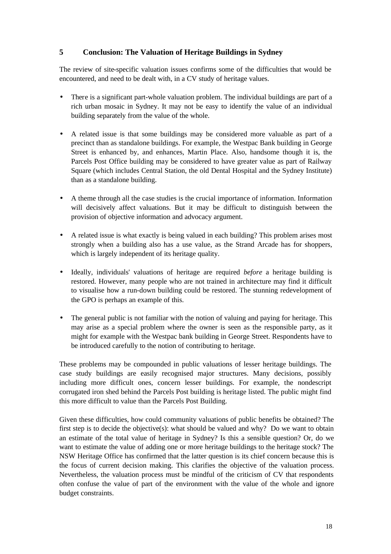## **5 Conclusion: The Valuation of Heritage Buildings in Sydney**

The review of site-specific valuation issues confirms some of the difficulties that would be encountered, and need to be dealt with, in a CV study of heritage values.

- There is a significant part-whole valuation problem. The individual buildings are part of a rich urban mosaic in Sydney. It may not be easy to identify the value of an individual building separately from the value of the whole.
- A related issue is that some buildings may be considered more valuable as part of a precinct than as standalone buildings. For example, the Westpac Bank building in George Street is enhanced by, and enhances, Martin Place. Also, handsome though it is, the Parcels Post Office building may be considered to have greater value as part of Railway Square (which includes Central Station, the old Dental Hospital and the Sydney Institute) than as a standalone building.
- A theme through all the case studies is the crucial importance of information. Information will decisively affect valuations. But it may be difficult to distinguish between the provision of objective information and advocacy argument.
- A related issue is what exactly is being valued in each building? This problem arises most strongly when a building also has a use value, as the Strand Arcade has for shoppers, which is largely independent of its heritage quality.
- Ideally, individuals' valuations of heritage are required *before* a heritage building is restored. However, many people who are not trained in architecture may find it difficult to visualise how a run-down building could be restored. The stunning redevelopment of the GPO is perhaps an example of this.
- The general public is not familiar with the notion of valuing and paying for heritage. This may arise as a special problem where the owner is seen as the responsible party, as it might for example with the Westpac bank building in George Street. Respondents have to be introduced carefully to the notion of contributing to heritage.

These problems may be compounded in public valuations of lesser heritage buildings. The case study buildings are easily recognised major structures. Many decisions, possibly including more difficult ones, concern lesser buildings. For example, the nondescript corrugated iron shed behind the Parcels Post building is heritage listed. The public might find this more difficult to value than the Parcels Post Building.

Given these difficulties, how could community valuations of public benefits be obtained? The first step is to decide the objective(s): what should be valued and why? Do we want to obtain an estimate of the total value of heritage in Sydney? Is this a sensible question? Or, do we want to estimate the value of adding one or more heritage buildings to the heritage stock? The NSW Heritage Office has confirmed that the latter question is its chief concern because this is the focus of current decision making. This clarifies the objective of the valuation process. Nevertheless, the valuation process must be mindful of the criticism of CV that respondents often confuse the value of part of the environment with the value of the whole and ignore budget constraints.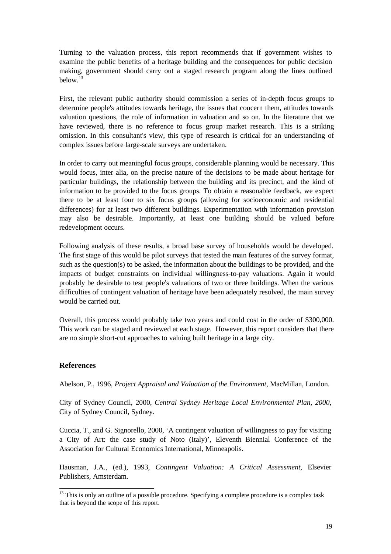Turning to the valuation process, this report recommends that if government wishes to examine the public benefits of a heritage building and the consequences for public decision making, government should carry out a staged research program along the lines outlined below.<sup>13</sup>

First, the relevant public authority should commission a series of in-depth focus groups to determine people's attitudes towards heritage, the issues that concern them, attitudes towards valuation questions, the role of information in valuation and so on. In the literature that we have reviewed, there is no reference to focus group market research. This is a striking omission. In this consultant's view, this type of research is critical for an understanding of complex issues before large-scale surveys are undertaken.

In order to carry out meaningful focus groups, considerable planning would be necessary. This would focus, inter alia, on the precise nature of the decisions to be made about heritage for particular buildings, the relationship between the building and its precinct, and the kind of information to be provided to the focus groups. To obtain a reasonable feedback, we expect there to be at least four to six focus groups (allowing for socioeconomic and residential differences) for at least two different buildings. Experimentation with information provision may also be desirable. Importantly, at least one building should be valued before redevelopment occurs.

Following analysis of these results, a broad base survey of households would be developed. The first stage of this would be pilot surveys that tested the main features of the survey format, such as the question(s) to be asked, the information about the buildings to be provided, and the impacts of budget constraints on individual willingness-to-pay valuations. Again it would probably be desirable to test people's valuations of two or three buildings. When the various difficulties of contingent valuation of heritage have been adequately resolved, the main survey would be carried out.

Overall, this process would probably take two years and could cost in the order of \$300,000. This work can be staged and reviewed at each stage. However, this report considers that there are no simple short-cut approaches to valuing built heritage in a large city.

#### **References**

l

Abelson, P., 1996, *Project Appraisal and Valuation of the Environment*, MacMillan, London.

City of Sydney Council, 2000, *Central Sydney Heritage Local Environmental Plan, 2000*, City of Sydney Council, Sydney.

Cuccia, T., and G. Signorello, 2000, 'A contingent valuation of willingness to pay for visiting a City of Art: the case study of Noto (Italy)', Eleventh Biennial Conference of the Association for Cultural Economics International, Minneapolis.

Hausman, J.A., (ed.), 1993, *Contingent Valuation: A Critical Assessment*, Elsevier Publishers, Amsterdam.

 $13$  This is only an outline of a possible procedure. Specifying a complete procedure is a complex task that is beyond the scope of this report.